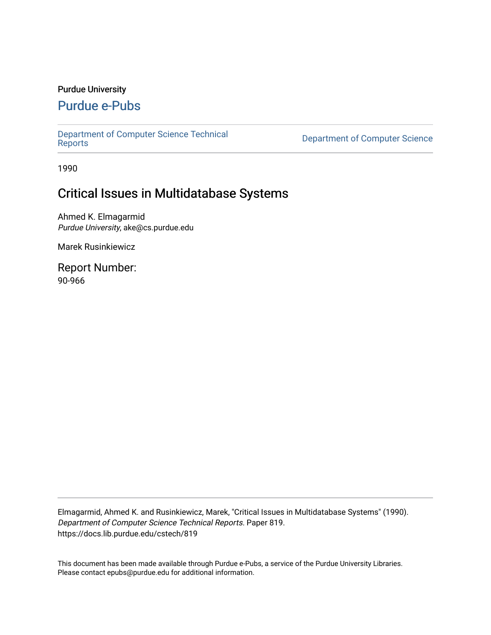## Purdue University

# [Purdue e-Pubs](https://docs.lib.purdue.edu/)

[Department of Computer Science Technical](https://docs.lib.purdue.edu/cstech) 

**Department of Computer Science** 

1990

# Critical Issues in Multidatabase Systems

Ahmed K. Elmagarmid Purdue University, ake@cs.purdue.edu

Marek Rusinkiewicz

Report Number: 90-966

Elmagarmid, Ahmed K. and Rusinkiewicz, Marek, "Critical Issues in Multidatabase Systems" (1990). Department of Computer Science Technical Reports. Paper 819. https://docs.lib.purdue.edu/cstech/819

This document has been made available through Purdue e-Pubs, a service of the Purdue University Libraries. Please contact epubs@purdue.edu for additional information.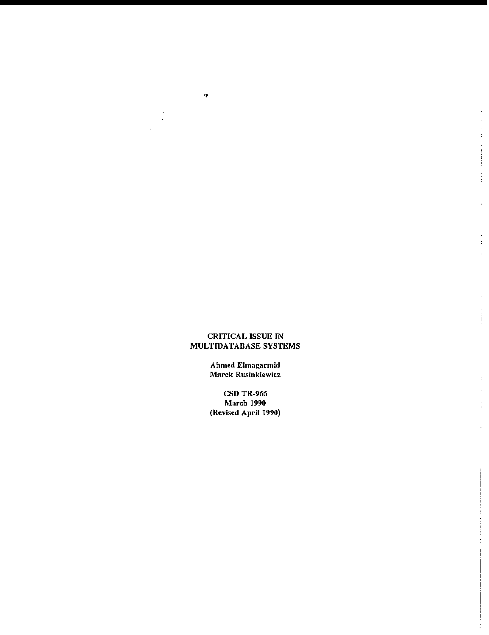## **CRITICAL ISSUE IN** MULTIDATABASE SYSTEMS

 $\boldsymbol{\tau}$ 

 $\frac{1}{2}$ 

 $\bar{\gamma}$ 

l,  $\frac{1}{2}$ 

 $\frac{1}{4}$ 

l,

 $\pm$  $\ddot{\phantom{a}}$ 

 $\frac{1}{1}$ 

 $\ddot{\phantom{a}}$ 

÷

Ahmed Elmagarmid Marek Rusinkiewicz

**CSD TR-966 March 1990** (Revised April 1990)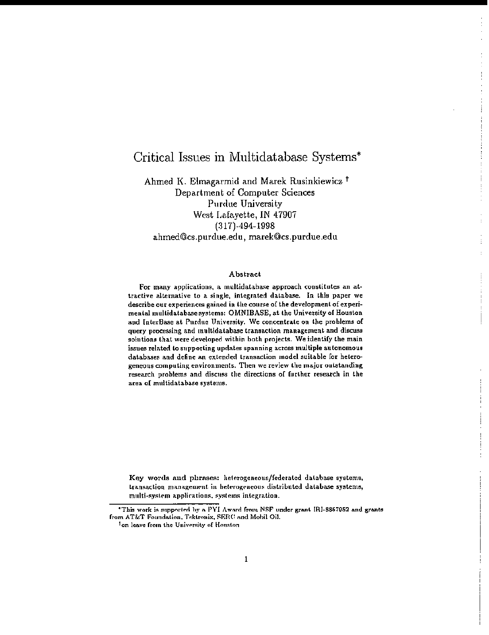# Critical Issues in Multidatabase Systems\*

ŧ

Î ŧ

 $\frac{1}{2}$ 

÷

Ahmed K. Elmagarmid and Marek Rusinkiewicz<sup>t</sup> Department of Computer Sciences Purdue University West Lafayette, IN 47907  $(317) - 494 - 1998$ ahmed@cs.purdue.edu, marek@cs.purdue.edu

#### Abstract

For many applications, a multidatabase approach constitutes an attractive alternative to a single, integrated database. In this paper we describe our experiences gained in the course of the development of experimental multidatabase systems: OMNIBASE, at the University of Houston and InterBase at Purdue University. We concentrate on the problems of query processing and multidatabase transaction management and discuss solutions that were developed within both projects. We identify the main issues related to supporting updates spanning across multiple autonomous databases and define an extended transaction model suitable for heterogeneous computing environments. Then we review the major outstanding research problems and discuss the directions of further research in the area of multidatabase systems.

Key words and phrases: heterogeneous/federated database systems, transaction management in heterogeneous distributed database systems, multi-system applications, systems integration.

\*This work is supported by a PYI Award from NSF under grant IRI-8857952 and grants from AT&T Foundation, Tektronix, SERC and Mobil Oil.

<sup>&</sup>lt;sup>f</sup>on leave from the University of Houston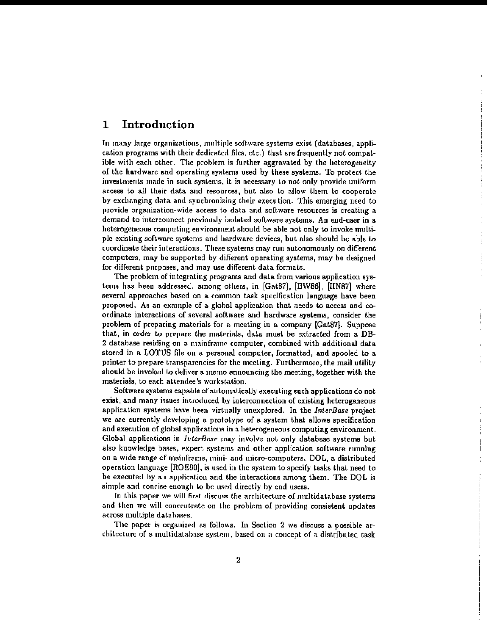# 1 Introduction

In many large organizations, multiple software systems exist (databases, application programs with their dedicated files, etc.) that are frequently not compatible with each other. The problem is further aggravated by the heterogeneity of the hardware and operating systems used by these systems. To protect the investments made in such systems, it is necessary to not only provide uniform access to all their data and resources, but also to allow them to cooperate by exchanging data and synchronizing their execution. This emerging need to provide organization-wide access to data and software resources is creating a demand to interconnect previously isolated software systems. An end-user in a heterogeneous computing environment should be able *not* only *to* invoke multiple existing software systems and hardware devices, but also should be able to coordinate their interactions. These systems may run autonomously on different computers, may be supported by different operating systems, may be designed for different purposes, and may use different data formats.

 $\ddot{\cdot}$ 

The problem of integrating programs and data from various application systems has been addressed, among others, in [Gat87), [BW86], [HN87] where several approaches based on a common task specification language have been proposed. As an example of a glohal application that needs to access and coordinate interactions of several software and hardware systems, consider the problem of preparing materials for a meeting in a company [Gat87]. Suppose that, in order to prepare the materials, data must be extracted from a DB-2 database residing on a mainframe computer, combined with additional data stored in a LOTUS file on a personal computer, formatted, and spooled to a printer to prepare transparencies for the meeting. Furthermore, the mail utility should be invoked to deliver a memo announcing the meeting, together with the materials, to each attendee's workstation.

Software systems capahle of automatically executing such applications do not exist, and many issues introduced by interconnection of existing heterogeneous application systems have been virtually unexplored. In the *InterBase* project we are currently developing a prototype of a system that allows specification and execution of global applications in a heterogeneous computing environment. Global applications in *InterBase* may involve not only database systems but also knowledge bases, expert systems and other application software running <sup>011</sup> a wide range of mainframe, mini- and micro-computers. DOL, a distributed operation language [ROE90], is used in the system to specify tasks that need to be executed by an application and the interactions among them. The DOL is simple and concise enough to be used directly by end users.

In this paper we will first discuss the architecture of multidatabase systems and then we will concentrate on the problem of providing consistent updates across multiple datahases.

The paper is organized as follows. In Section 2 we discuss a possible architecture of a multidatabase system, based on a concept of a distributed task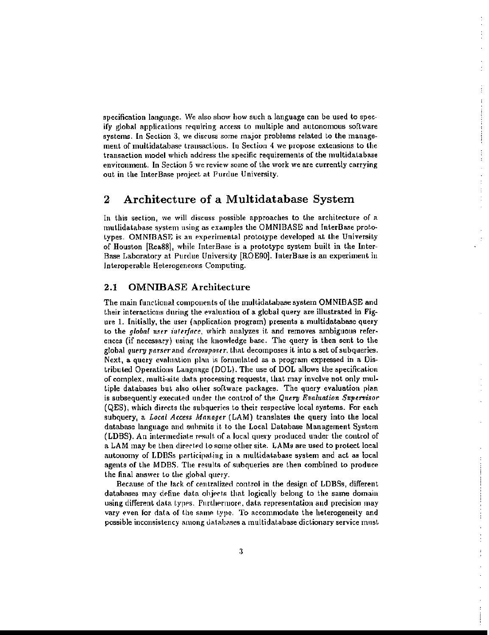specification language. We also show how such a language can be used to specify global applications requiring access to multiple and autonomous software systems. In Section 3, we discuss some major problems related to the management of multidatabase transactions. In Section 4 we propose extensions to the transaction model which address the specific requirements of the multidatabase environment. In Section 5 we review some of the work we are currently carrying out in the InterBase project at Purdue University.

ţ

j

 $\begin{array}{c} \vdots \\ \vdots \\ \vdots \end{array}$ 

 $\ddot{\phantom{a}}$ ÷

## 2 Architecture of a Multidatabase System

In this section, we will discuss possible approaches to the architecture of a mutlidatabase system using as examples the OMNIBASE and InterBase prototypes. OMNTBASF, is an experimental prototype developed at the University of Houston [Rea88J, while IntcrBase is a prototype system built in the Inter-Base Laboratory at Purdue University [ROE90]. InterBase is an experiment in Interoperable Heterogeneons Computing.

## 2.1 OMNIBASE Architecture

The main functional components of the multidatabase system OMNIBASE and their interactions during the evaluation of a global query are illustrated in Figure 1. Initially, the user (applical.ion program) presents a multidatabase query to the *global* user interface, which analyzes it and removes ambiguous references (if necessary) using the knowledge base. The query is then sent to the global *query parser* and *decomposer*, that decomposes it into a set of subqueries. Next, a query evaluation plan is formulated as a program expressed in a Distributed Operations Langnage (DOL). The use of DOL allows the specification of complex, multi-site data processing requests, that may involve not only multiple databases but also other software packages. The query evaluation plan is subsequently executed under the control of the *Query Evaluation Supervisor*  $(QES)$ , which directs the subqueries to their respective local systems. For each subquery, a *Local Access Mallager* (LAM) translates the query into the local database language and submits it to the Local Database Management System (LDBS). An intermediate result of a local query produced under the control of a LAM may be then directed to some other site. LAMs are used to protect local autonomy of LDBSs participating in a multidatabase system and act as local agents of the MDBS. The results of subqueries are then combined to produce the final answer to the global query.

Because of the lack of centralized control in the design of LDBSs, different databases may define data ohjects that logically belong to the same domain using different data types. Furthermore, data representation and precision may vary even for data of the same type. To accommodate the heterogeneity and possible inconsistency among databases a multidatabase dictionary service must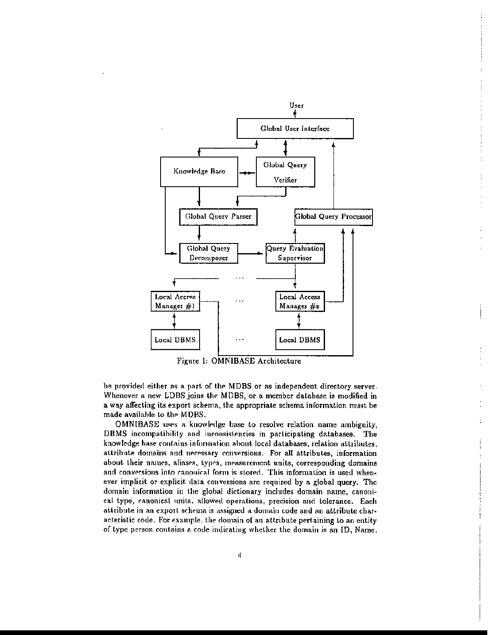

Figure 1: OMNIBASE Architecture

be provided either as a part of the MDBS or as independent directory server. Whenever a new LDBS joins the MDBS, or a member database is modified in a way affecting its export schema, the appropriate schema information must be made available to the MDBS.

OMNIBASE uses a knowledge base to resolve relation name ambiguity, DBMS incompatibility and inconsistencies in participating databases. The knowledge base contains information about local databases, relation attributes, attribute domains and necessary conversions. For all attributes, information about their names, aliases, types, measurement units, corresponding domains and conversions into canonical form is stored. This information is used whenever implicit or explicit data conversions are required by a global query. The domain information in the global dictionary includes domain name, canonical type, canonical units, allowed operations, precision and tolerance. Each attribute in an export schema is assigned a domain code and an attribute characteristic code. For example, the domain of an attribute pertaining to an entity of type person contains a code indicating whether the domain is an ID, Name,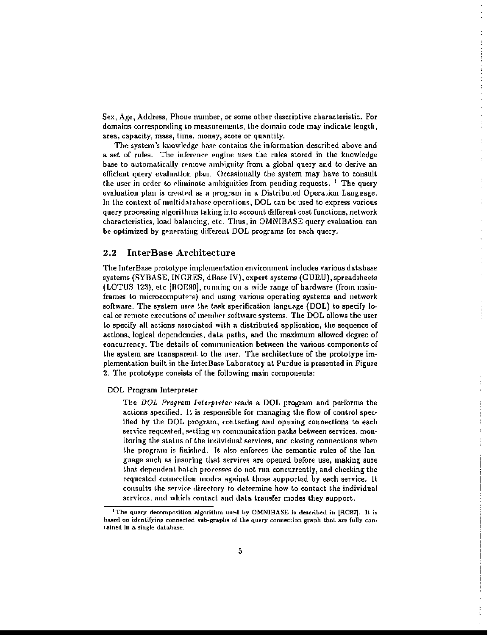Sex, Age, Address, Phone number, or some other descriptive cllaracteristic. For domains corresponding to measurements, the domain code may indicate length, area, capacity, mass, time, money, score or quantity.

 $\mathcal{I}$ 

The system's knowledge hase contains the information described above and a set of rules. The inference engine uses the rules stored in the knowledge base to automatically remove ambiguity from a global query and to derive an efficient query evaluation plan. Occasionally the system may have to consult the user in order to eliminate ambiguities from pending requests. <sup>I</sup> The query evaluation plan is created as a program in a Distributed Operation Language. In the context of multidatabase operations, DOL can be used to express various query processing algorithms taking into account different cost functions, network characteristics, load balancing, etc. Thus, in OMNIBASE query evaluation can be optimized by generating different DOL programs for each query.

### 2.2 InterBase Architecture

The InterBase prototype implementation environment includes various database systems (SYBASE, INGRES, dBase IV), expert systems (GURU), spreadsheets (LOTUS 123), etc [ROE90], running on a wide range of hardware (from mainframes to microcomputers) and using various operating systems and network software. The system uses the task specification language (DOL) to specify local or remote executions of member software systems. The DOL allows the user to specify all actions associated with a distributed application, the sequence of actions, logical dependencies, data paths, and the maximum allowed degree of concurrency. The details of communication between the various components of the system are transparent to the user. The architecture of the prototype implementation built in the InterBase Laboratory at Purdue is presented in Figure 2. The prototype consists of the following main components:

#### DOL Program Interpreter

The *DOL* Program Interpreter reads a DOL program and performs the actions specified. It is responsible for managing the flow of control specified by the DOL program, contacting and opening connections to each service requested, setting up communication paths between services, monitoring the status of the individual services, and closing connections when the program is finished. It also enforces the semantic rules of the language such as insuring that services are opened before use, making sure that dependent batch processes do not run concurrently, and checking the requested connection modes against those supported by each service. It consults the service directory to determine how to contact the individual services, and which contact and data transfer modes they support.

<sup>&</sup>lt;sup>1</sup>The query decomposition algorithm used by OMNIBASE is described in [RC87]. It is based on identifying connected sub-graphs of the query connection graph that are fully contained in a single database.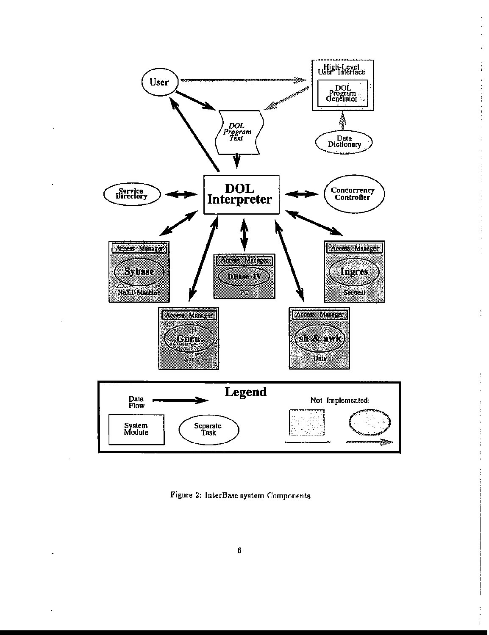

 $\frac{1}{4}$ 

 $\ddot{\phantom{a}}$ 

 $\pm$  $\begin{array}{c} 1 \\ 1 \\ 2 \\ 3 \\ 4 \end{array}$ 

 $\frac{1}{2}$  $\overline{\phantom{a}}$  $\vdots$  $\frac{1}{2}$ 

 $\frac{3}{4}$ 

Figure 2: InterBase system Components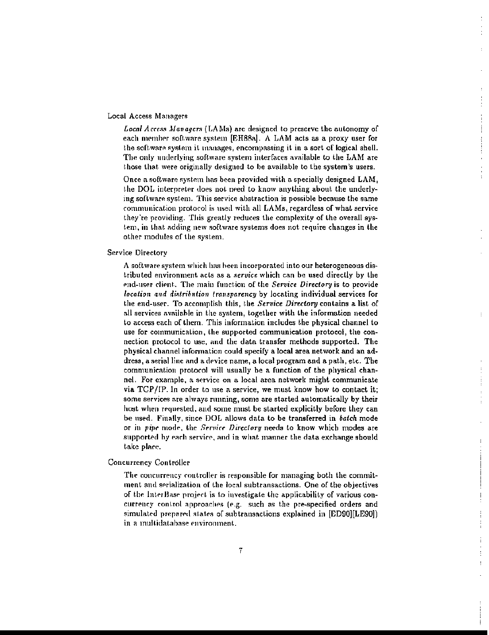### Local Access Managers

*Local Access Managers* (LAMs) are designed to preserve the autonomy of each member software system  $[EH88a]$ . A LAM acts as a proxy user for the software system it manages, encompassing it in a sort of logical shell. The only underlying software system interfaces available to the LAM are those that, were originally designed to be available to the system's users.

 $\begin{array}{c} \begin{array}{c} 1 \\ 1 \\ 2 \end{array} \\ \begin{array}{c} 1 \\ 2 \end{array} \\ \begin{array}{c} 1 \\ 2 \end{array} \\ \begin{array}{c} 1 \\ 2 \end{array} \\ \begin{array}{c} 1 \\ 2 \end{array} \\ \begin{array}{c} 1 \\ 2 \end{array} \\ \begin{array}{c} 1 \\ 2 \end{array} \\ \begin{array}{c} 1 \\ 2 \end{array} \\ \begin{array}{c} 1 \\ 2 \end{array} \\ \begin{array}{c} 1 \\ 2 \end{array} \\ \begin{array}{c} 1 \\ 2 \end{array} \\ \begin{array}{c} 1 \\ 2$ 

 $\ddot{\phantom{a}}$ 

÷  $\mathbf{I}$ 

Once a software system has been provided with a specially designed LAM, the DOL interpreter does not need to know anything about the underlying software system. This service abstraction is possible because the same communication protocol is used with all LAMs, regardless of what service they·re providing, This greatly reduces the complexity of the overall system, in that adding new software systems does not require changes in the other modules of the system.

#### Service Directory

A software system which has been incorporated into our heterogeneous distributed environment acts as a *service* which can be used directly by the end-user client. The main function of the *Service Directory* is to provide location and distribution transparency by locating individual services for the end-user. To accomplish this, the Service Directory contains a list of all services availahle in the system, together with the information needed to access each of them. This information includes the physical channel to use for communication, the supported communication protocol, the connection protocol to use, and the data transfer methods supported. The physical channel information could specify a local area network and an ad· dress, a serial line and a device name, a local program and a path, etc. The communication protocol will usually be a function of the physical channel. For example. a service on a local area network might communicate via  $TCP/IP.$  In order to use a service, we must know how to contact it; some services are always running, some are started automatically by their host when requested, and some must be started explicitly before they can be used. Finally, since DOL allows data to be transferred in *batch* mode or in pipe mode, the Service Directory needs to know which modes are supported hy each service, and in what manner the data exchange should take place.

#### Concurrency Controller

The concurrency controller is responsible for managing both the commitment and serialization of the local subtransactions. One of the objectives of the InterBase project is to investigate the applicability of various concurrency control approaches (e.g. such as the pre-specified orders and simulated prepared states of subtransactions explained in [ED90][LE90]) in a multidatabase environment.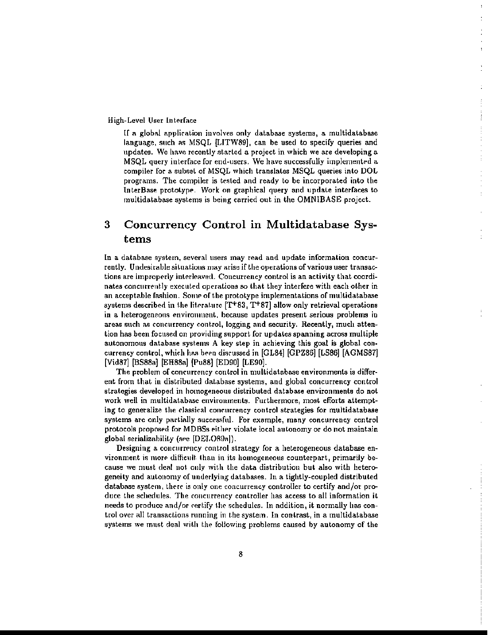High-Level tlser Interface

If a global appliration involves only database systems, a multidatabase language, such as MSQL [LITW89], can be used to specify queries and updates. We have recently starled a project in which we are developing a MSQL query interface for end-users. We have successfully implemented a compiler for a subset of MSQL which translates MSQL queries into DOL programs. The compiler is tested and ready to be incorporated into the InterBase prototype. Work on graphical query and update interfaces *to* multidatabase systems is being carried out in the OMNIBASE project.

 $\frac{1}{1}$ 

# 3 Concurrency Control in Multidatabase Systems

In a database system, several users may read and update information concurrently. Undesirable situations may arise if the operations of various user transactions are improperly interleaved. Concurrency control is an activity that coordinates concurrently executed operations so that they interfere with each other in an acceptable fashion. Some of the prototype implementations of multidatabase systems described in the literature  $[T+83, T+87]$  allow only retrieval operations in a heterogeneous environment, because updates present serious problems in areas such as concurrency control, logging and security. Recently, much attention has been focused on providing support for updates spanning across multiple autonomous database systems A key step in achieving this goal is global concurrency control, which has been discussed in [GL84] [GPZ86] [LS86] [AGMS87] [Vid87] [BS88.] [EH88.] [Pu88] [ED90] [LE90].

The problem of concurrency control in multidatabase environments is different from that in distributed database systems, and global concurrency control strategies developed in homogeneous distributed database environments do not work well in multidatabase environments. Furthermore, most efforts attempting to generalize the classical concurrency control strategies for multidatabase systems are only partially successful. For example, many concurrency control protocols proposed for MDBSs either violate local autonomy or do not maintain global serializability (see [DELO89a]).

Designing a concurrency control strategy for a heterogeneous database environment is more difficult than in its homogeneous counterpart, primarily because we must deal not only with the data distribution but also with heterogeneity and autonomy of underlying databases. In a tightly-coupled distributed database system, there is only one concurrency controller to certify and/or produce the schedules. The concurrency controller has access to all information it needs to produce and/or certify the schedules. In addition, it normally has control over all transactions running in the system. In contrast, in a multidatabase systems we must deal with the following problems caused by autonomy of the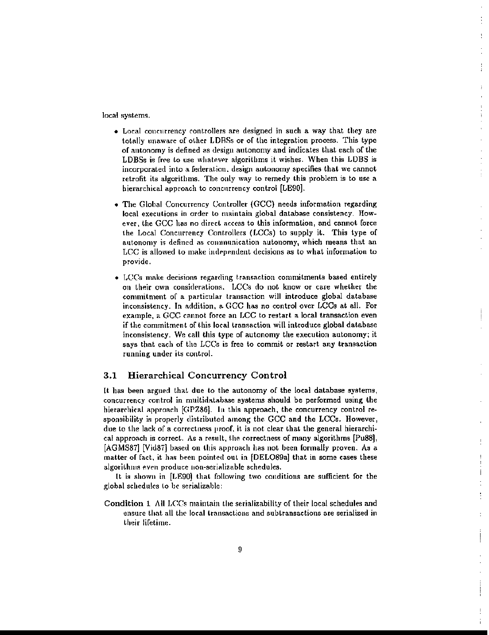local systems.

• Local concurrency controllers are designed in such a way that they are totally unaware of other LDBSs or of the integration process. This type of autonomy is defined as design autonomy and indicates that each of the LDBSs is free to use whatever algorithms it wishes. When this LDBS is incorporated into a federation, design autonomy specifies that we cannot retrofit its algorithms. The only way to remedy this problem is to use a hierarchical approach to concurrency control [LE90].

þ

÷

÷

- The Global Concurrency Controller (GCC) needs information regarding local executions in order to maintain global database consistency. However, the GCC has no direct access to this information, and cannot force the Local Concurrency Controllers (LCCs) to supply it. This type of autonomy is defined as communication autonomy, which means that an LCC is allowed to make independent decisions as to what information to provide.
- LCCs make decisions regarding transaction commitments based entirely on their own considerations. LCCs do not know or care whether the commitment of a particular transaction will introduce global database inconsistency. In addition, a GCC has no control over LCCs at all. For example, a GCC cannot force an LCC to restart a local transaction even if the commitment of this local transaction will introduce global database inconsistency. We call this type of autonomy the execution autonomy; it says that each of the LCCs is free to commit or restart any transaction running under its control.

## 3.1 Hierarchical Concurrency Control

It has been argued that due to the autonomy of the local database systems, concurrency control in multidatabase systems should be performed using the hierarchical approach [GPZ86]. In this approach, the concurrency control responsibility is properly distributed among the GCC and the LCCs. However, due to the lack of a correctness proof, it is not clear that the general hierarchical approach is correct. As a result. l.he correctness of many algorithms [PuSS], [AGMS87] [Vid87] based on this approach has not been formally proven. As a matter of fact, it has been pointed out in [DELO89a] that in some cases these algorithms even produce non-serializable schedules.

It is shown in [LE90l that following two conditions are sufficient for the global schedules to be serializable:

Condition 1 All LCCs maintain the serializability of their local schedules and ensure that all the local transactions and sub transactions are serialized in their lifetime.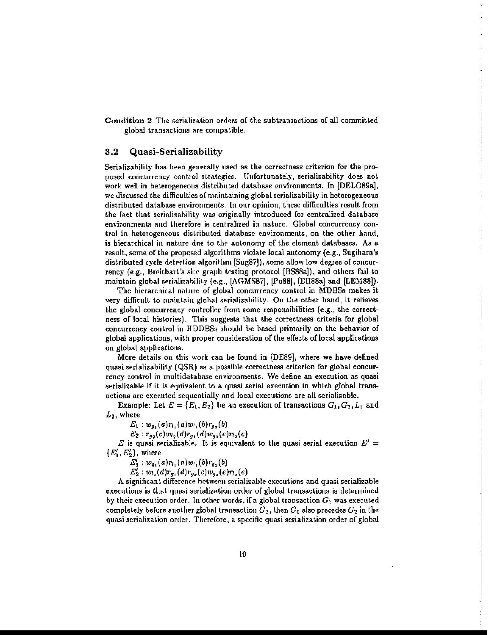Condition 2 The serialization orders of the subtransactions of all committed global transactions are compatible.

## 3.2 Quasi-Serializability

Serializability has been generally used as the correctness criterion for the proposed concurrency control strategies. Unfortunately, serializability does not work well in heterogeneous distributed database environments. In [DEL089a], we discussed the difficulties of maintaining global serializability in heterogeneous distributed database environments. In our opinion, these difficulties result from the fact that serializability was originally introduced for centralized database environments and therefore is centralized in nature. Global concurrency control in heterogeneous distributed database environments, on the other hand, is hierarchical in nature due to the autonomy of the element databases. As a result, some of the proposed algorithms violate local autonomy (e.g., Sugihara's distributed cycle detection algorithm [Sug87]), some allow low degree of concurrency (e.g., Breitbart's site graph testing protocol [BS88a]), and others fail to maintain global serializability (e.g., [AGMS87], [Pu88], [EH88a] and [LEM88]).

The hierarchical nature of global concurrency control in MDBSs makes it very difficult to maintain glohal serializability. On the other hand, it relieves the global concurrency controller from some responsibilities (e.g., the correctness of local histories). This suggests that the correctness criteria for global concurrency control in HDDBSs should be based primarily on the behavior of global applications, with proper consideration of the effects oflocal applications on global applications.

More details on this work can be found in [DE89], where we have defined quasi serializability (QSR) as a possible correctness criterion for global concurrency control in multidatabase environments. We define an execution as quasi serializable if it is equivalent to a quasi serial execution in which global transactions are executed sequentially and local executions are all serializable.

Example: Let  $E = \{E_1, E_2\}$  be an execution of transactions  $G_1, G_2, L_1$  and L*<sup>2</sup> ,* where

 $E_1: w_{g_1}(a)r_{l_1}(a)w_{l_1}(b)r_{g_2}(b)$ 

 $E_2: r_{q_2}(c)w_{l_2}(d)r_{q_1}(d)w_{q_2}(e)r_{l_2}(e)$ 

 $E$  is quasi serializable. It is equivalent to the quasi serial execution  $E'$  =  ${E'_1, E'_2}$ , where

 $E'_{1}: w_{g_{1}}(a)r_{l_{1}}(a)w_{l_{1}}(b)r_{g_{2}}(b)$ 

 $E_2^l: w_{l_2}(d)r_{g_1}(d)r_{g_2}(c)w_{g_2}(e)r_{l_2}(e)$ 

A significant difference between serializable executions and quasi serializable executions is that quasi serialization order of global transactions is determined by their execution order. In other words, if a global transaction  $G_1$  was executed completely before another global transaction  $G_2$ , then  $G_1$  also precedes  $G_2$  in the quasi serialization order. Therefore, a specific quasi serialization order of global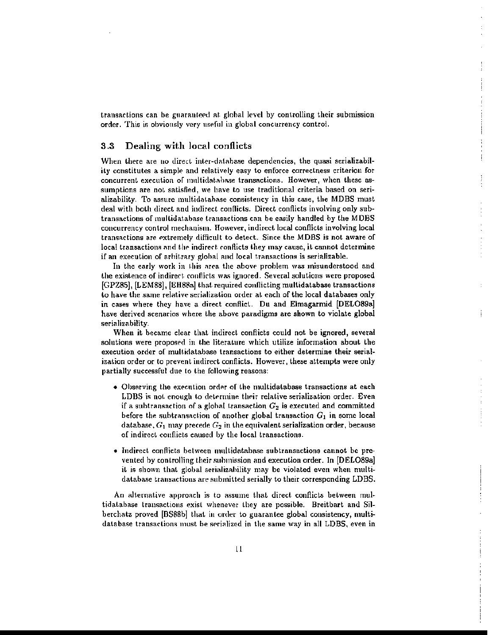transactions can be guaranteed at global level by controlling their submission order. This is obviously very useful in global concurrency control.

## 3.3 Dealing with local conflicts

When there are no direct inter-database dependencies, the quasi serializability constitutes a simple and relatively easy to enforce correctness criterion for concurrent execution of mnJt.idat,ahase transactions. However, when these assumptions are not satisfied, we have to use traditional criteria based on serializability. To assure multidatahase consistency in this case, the MDBS must deal with both direct and indirect conflicts. Direct conflicts involving only subtransactions of multidatabase transactions can be easily handled by the MDBS concurrency control mechanism. However, indirect local conflicts involving local transactions are extremely difficult to detect. Since the MDBS is not aware of local transactions and the indirect conflicts they may cause, it cannot determine if an execution of arbitrary global and local transactions is serializable.

In the early work in this area the above problem was misunderstood and the existence of indirect conflicts was ignored. Several solutions were proposed [GPZ85], [LEM88], [EH88aJ that. required conflicting multidatabase transactions to have the same relative serialization order at each of the local databases only in cases where they have a direct conflict. Du and Elmagarmid [DELO89a] have derived scenarios where the above paradigms are shown to violate global serializability.

j.

When it became clear that indirect conflicts could not be ignored, several solutions were proposed in the literature which utilize information about the execution order of multidatabase transactions to either determine their serialization order or to prevent indirect conflicts. However, these attempts were only partially successful due to the following reasons:

- Observing the execution order of the multidatabase transactions at each LDBS is not enough to determine their relative serialization order. Even if a subtransaction of a global transaction  $G_2$  is executed and committed before the subtransaction of another global transaction  $G_1$  in some local database,  $G_1$  may precede  $G_2$  in the equivalent serialization order, because of indirect conflicts caused by the local transactions.
- Indirect conflicts between multidatabase subtransactions cannot be prevented by controlling their submission and execution order. In [DELO89a] it is shown that global serializahility may be violated even when multidatabase transactions are submitted serially to their corresponding LDBS.

An alternative approach is to assume that direct conflicts between multidatabase transactions exist whenever they are possible. Breitbart and Silberchatz proved [BS88b] that in order to guarantee global consistency, multidatabase transactions must be serialized in the same way in all LDBS, even in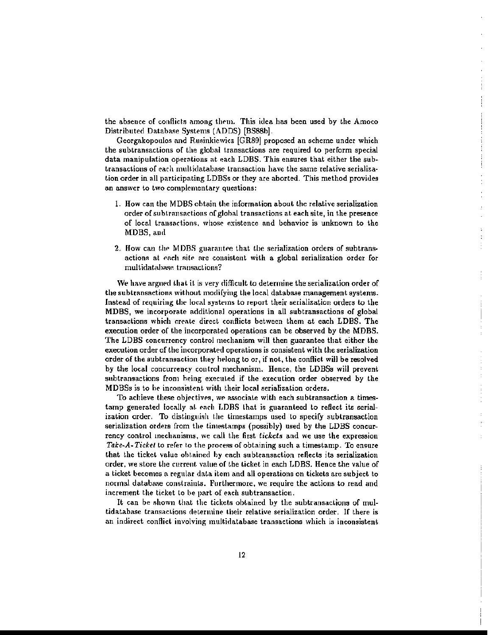the absence of conflicts among them. This idea has been used by the Amoco Distributed Database Systems (ADDS) [BS88b].

Georgakopoulos and Rnsinkiewicz [GR89] proposed an scheme under which the subtransactions of the global transactions are required to perform special data manipulation operations at each LDBS. This ensures that either the subtransactions of each multidatabase transaction have the same relative serialization order in all participating LDBSs or they are aborted. This method provides an answer to two complementary questions:

- 1. How can the MOBS obtain the information about the relative serialization order of Stlhtrallsaetions of glohal transactions at each site, in the presence of local transactions, whose existence and behavior is unknown to the MOBS, and
- 2. How can the MDBS guarantee that the serialization orders of subtransactions at each site are consistent with a global serialization order for multidatahase transactions?

We have argued that it is very difficult to determine the serialization order of the subtransactions without modifying the local database management systems. Instead of requiring the local systems to report their serialization orders to the MDBS, we incorporate additional operations in all subtransactions of global transactions which create direct conflicts between them at each LDBS. The execution order of the incorporated operations can be observed by the MDBS. The LOBS concurrency control mechanism will then guarantee that either the execution order of the incorporated operations is consistent with the serialization order of the subtransaction they hplong to or, if not. the conflict will be resolved by the local concurrency control mechanism. Hence, the LDBSs will prevent subtransactions from heing executed if the execution order observed by the MDBSs is to be inconsistent with their local serialization orders.

To achieve these objectives, we associate with each subtransaction a timestamp generated locally at each LDBS that is guaranteed to reflect its serialization order. To distinguish the timestamps used to specify subtransaction serialization orders from the timestamps (possibly) used by the LDBS concurrency control mechanisms, we call the first *tickets* and we use the expression Take-A-Ticket to refer to the process of obtaining such a timestamp. To ensure that. the ticket value ohtained hy each subtransaction reflects its serialization order. we store the current. value of the ticket in each LOBS. Hence the value of a ticket becomes a regular data item and all operations on tickets are subject to normal database constraints. Furthermore, we require the actions to read and increment the ticket to be part of each subtransaction.

It can be shown that the tickets obtained by the subtransactions of multidatabase transactions determine I.heir relative serialization order. If there is an indirect conflict involving multidatabase transactions which is inconsistent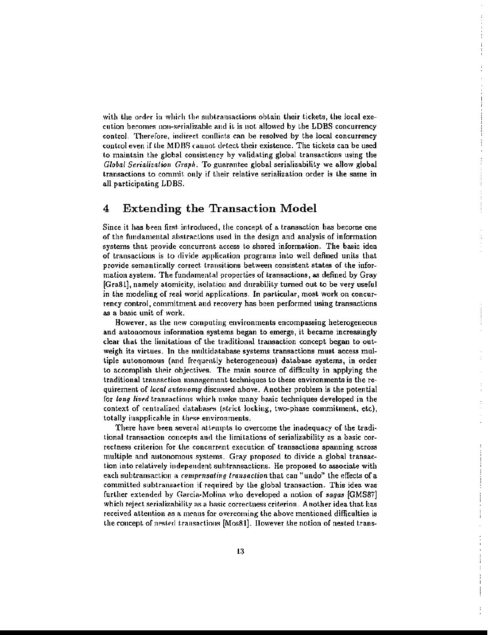with the order in which the subtransactions obtain their tickets, the local execution becomes non-serializable and it is not allowed by the LDBS concurrency control. Therefore, indirect conflicts can be resolved by the local concurrency control even if the MDBS cannot detect their existence. The tickets can be used to maintain the global consistency by validating global transactions using the *Global Serialization Graph.* To guarantee global serializability we allow global transactions to commit only if their relative serialization order is the same in all participating LDBS.

# 4 Extending the Transaction Model

Since it has been first introduced, the concept of a transaction has become one of the fundamental abstractions used in the design and analysis of information systems that provide concurrent access to shared information. The basic idea of transactions is to divide applicat.ion programs into well defined units that provide semantic.ally correct transitions between consistent states of the information system. The fundamental properties of transactions, as defined by Gray [Gra81], namely atomicity, isolation and durability turned out to be very useful in the modeling of real world applications. In particular, most work on concurrency control, commitment and recovery has been performed using transactions as a basic unit of work.

However, as the new computing environments encompassing heterogeneous and autonomous information systems began to emerge, it became increasingly clear that the limitations of the traditional transaction concept began to outweigh its virtues. In the multidatabase systems transactions must access multiple autonomous (and frequently heterogeneous) database systems, in order to accomplish their objectives. The main source of difficulty in applying the traditional transaction management techniques to these environments is the requirement of *loml autonomy* discllssed ahove. Another problem is the potential for *long* lived transactions which make many basic techniques developed in the context of centralized databases (strict locking, two-phase commitment, etc), totally inapplicable in these environments.

There have been several attempts to overcome the inadequacy of the traditional transaction concepts and the limitations of serializability as a basic correctness criterion for the concurrent execution of transactions spanning across multiple and autonomous systems. Gray proposed to divide a global transaction into relatively independent subtransactions. He proposed to associate with each subtransaction a *compensating trausaction* that can "undo" the effects of a committed subtransaction if required by the global transaction. This idea was further extended by Garcia-Molina who developed a notion of sagas [GMS87] which reject serializability as a hasic correctness criterion. Another idea that has received attention as a means for overcoming the above mentioned difficulties is the concept of nested transactions [Mos81]. However the notion of nested trans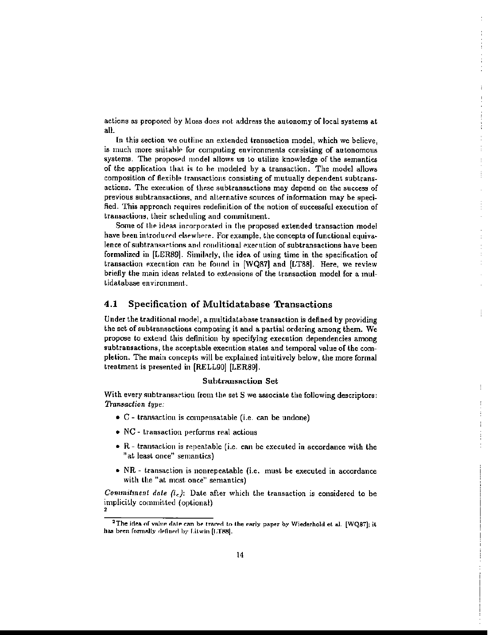actions as proposed by Moss does not address the autonomy of local systems at all.

÷

Ť

 $\ddot{i}$ 

In this section we outline an extended transaction model, which we believe, is much more suitable for computing environments consisting of autonomous systems. The proposed model allows us to utilize knowledge of the semantics of the application that is to be modeled by a transaction. The model allows composition of flexible transactions consisting of mutually dependent subtransactions. The execution of these subtransactions may depend on the success of previous subtransactions, and alternative sources of information may be specified. This approach requires redefinition of the notion of successful execution of transactions, their scheduling and commitment.

Some of the ideas incorporated in the proposed extended transaction model have been introduced elsewhere. For example, the concepts of functional equivalence of subtransactions and ronditional execution of subtransactions have been formalized in [LER89]. Similarly, the idea of using time in the specification of transaction execution can be found in  $[WQ87]$  and  $[LTS8]$ . Here, we review briefly the main ideas related to extensions of the transaction model for a multidatabase environment..

## 4.1 Specification of Multidatabase Transactions

Under the traditional model, a multidatabase transaction is defined by providing the set of subtransactions composing it and a partial ordering among them. We propose to extend this definition by specifying execution dependencies among subtransactions, the acceptable execution states and temporal value of the completion. The main concepts will be explained intuitively below, the more formal treatment is presented in (RELL90] [LER89].

#### Subtransaction Set

With every subtransaction from the set S we associate the following descriptors: *Transaction type:*

- $\bullet$  C transaction is compensatable (i.e. can be undone)
- $\bullet$  NC transaction performs real actions
- R transaction is repeatable (i.e. can be executed in accordance with the "at least once" semantics)
- NR transaction is nonrepeatable (i.e. must be executed in accordance with the "at most once" semantics)

*Commitment date*  $(t<sub>c</sub>)$ : Date after which the transaction is considered to be implicitly committed (optional) ,

<sup>&</sup>lt;sup>2</sup>The idea of value date can be traced to the early paper by Wiederhold et al. [WQ87]; it has been formally defined by Litwin [LT88].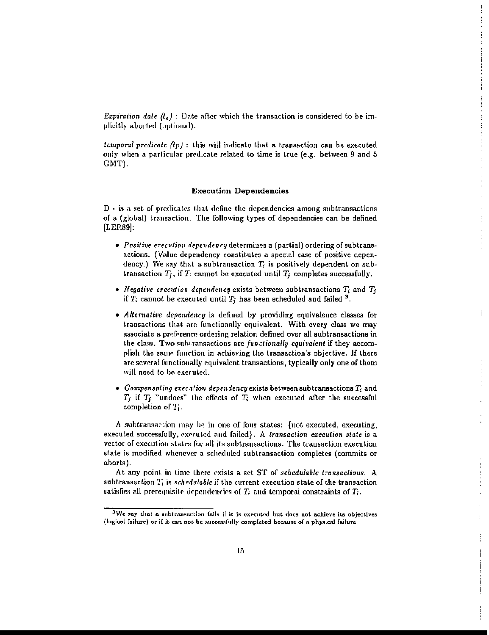*Expiration date*  $(t_e)$ : Date after which the transaction is considered to be implicitly aborted (optional).

 $\mathbf{I}$ 

temporal predicate  $\langle tp \rangle$ : this will indicate that a transaction can be executed only when a particular predicate related to time is true (e.g. between 9 and 5 GMT).

#### **Execution Dependencies**

D - is a set of predicates that define the dependencies among subtransactions of a (global) transaction. The following types of dependencies can be defined  $[LER89]$ :

- Positive execution dependency determines a (partial) ordering of subtransactions. (Value dependency constitutes a special case of positive dependency.) We say that a subtransaction  $T_i$  is positively dependent on subtransaction  $T_i$ , if  $T_i$  cannot be executed until  $T_i$  completes successfully.
- Negative execution dependency exists between subtransactions  $T_i$  and  $T_i$ if  $T_i$  cannot be executed until  $T_i$  has been scheduled and failed  $^3$ .
- Alternative dependency is defined by providing equivalence classes for transactions that are functionally equivalent. With every class we may associate a preference ordering relation defined over all subtransactions in the class. Two subtransactions are functionally equivalent if they accomplish the same function in achieving the transaction's objective. If there are several functionally equivalent transactions, typically only one of them will need to be executed.
- Compensating execution dependency exists between subtransactions  $T_i$  and  $T_i$  if  $T_i$  "undoes" the effects of  $T_i$  when executed after the successful completion of  $T_i$ .

A subtransaction may be in one of four states: {not executed, executing, executed successfully, executed and failed}. A transaction execution state is a vector of execution states for all its subtransactions. The transaction execution state is modified whenever a scheduled subtransaction completes (commits or aborts).

At any point in time there exists a set ST of *schedulable transactions*. A subtransaction  $T_i$  is schedulable if the current execution state of the transaction satisfies all prerequisite dependencies of  $T_i$  and temporal constraints of  $T_i$ .

<sup>&</sup>lt;sup>3</sup>We say that a subtransaction fails if it is executed but does not achieve its objectives (logical failure) or if it can not be successfully completed because of a physical failure.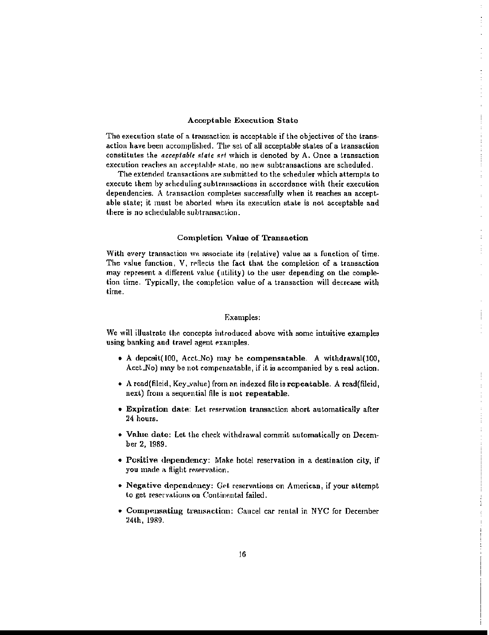#### Acceptable Execution State

The execution state of a transaction is acceptable if the objectives of the transaction have been accomplished. The set of all acceptable states of a transaction constitutes the acceptable state set which is denoted by A. Once a transaction execution reaches an acceptable state, no new subtransactions are scheduled.

The extended transactions are submitted to the scheduler which attempts to execute them by scheduling subtransactions in accordance with their execution dependencies. A transaction completes successfully when it reaches an acceptable state; it must be aborted when its execution state is not acceptable and there is no schedulable subtransaction.

### Completion Value of Transaction

With every transaction we associate its (relative) value as a function of time. The value function, V, reflects the fact that the completion of a transaction may represent a different value (utility) to the user depending on the completion time. Typically, the completion value of a transaction will decrease with time.

#### Examples:

We will illustrate the concepts introduced above with some intuitive examples using banking and travel agent examples.

- A deposit(100, Acct\_No) may be compensatable. A withdrawal(100,  $Acct$ . No) may be not compensatable, if it is accompanied by a real action.
- A read(fileid, Key\_value) from an indexed file is repeatable. A read(fileid, next) from a sequential file is not repeatable.
- Expiration date: Let reservation transaction abort automatically after 24 hours.
- Value date: Let the check withdrawal commit automatically on December 2, 1989.
- Positive dependency: Make hotel reservation in a destination city, if you made a flight reservation.
- Negative dependency: Get reservations on American, if your attempt to get reservations on Continental failed.
- Compensating transaction: Cancel car rental in NYC for December 24th, 1989.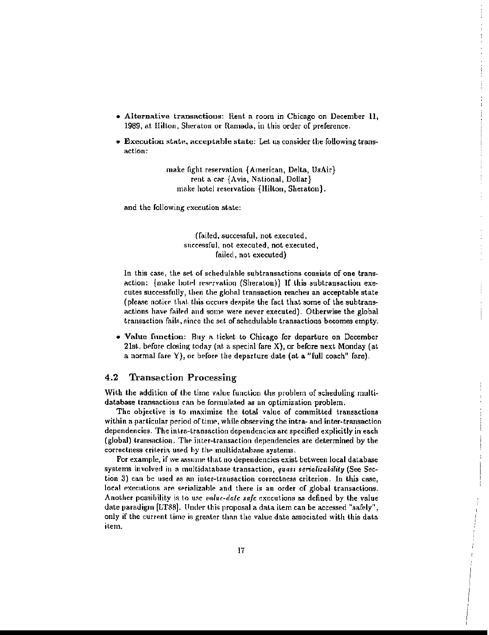- Alternative transactions: Rent a room in Chicago on December 11, 1989, at Hilton, Sheraton or Ramada, in this order of preference.
- Execution state, acceptable state: Let us consider the following transaction:

make fight reservation {American, Delta, UsAir} rent a car {Avis, National, Dollar} make hotel reservation {Hilton, Sheraton}.

and the following execution state:

(failed, successful, not executed, successful, not executed, not executed, failed, not executed)

In this case, the set of schedulable subtransactions consists of one transaction: {make hotel reservation (Sheraton)} If this subtransaction executes successfully, then the glohal transaction reaches an acceptable state (please notice that this occurs despite the fact that some of the subtransactions have failed and some were never executed). Otherwise the global transaction fails, since the set of schedulable transactions becomes empty.

• Value function: Auy a ticket to Chicago for departure on December 21st, before closing today (at a special fare X), or before next Monday (at a normal fare Y), or before the departure date (at a "full coach" fare).

## 4.2 Transaction Processing

With the addition of the time value function the problem of scheduling multidatabase transactions can be formulated as an optimization problem.

The objective is to maximize the total value of committed transactions within a particular period of time, while observing the intra- and inter-transaction dependencies. The intra-lransaction dependencies are specified explicitly in each (global) transaction. The inter-transaction dependencies are determined by the correctness criteria used by the multidatabase systems.

For example, if we assume that no dependencies exist between local database systems involved in a multidatabase transaction, *quasi serializability* (See Section 3) can be used as an inter-transaction correctness criterion. In this case, local executions are serializable and there is an order of global transactions. Another possibility is to use *value-date safe* executions as defined by the value date paradigm [LT88]. Under this proposal a data item can be accessed "safely", only if the current time is greater than the value date associated with this data item.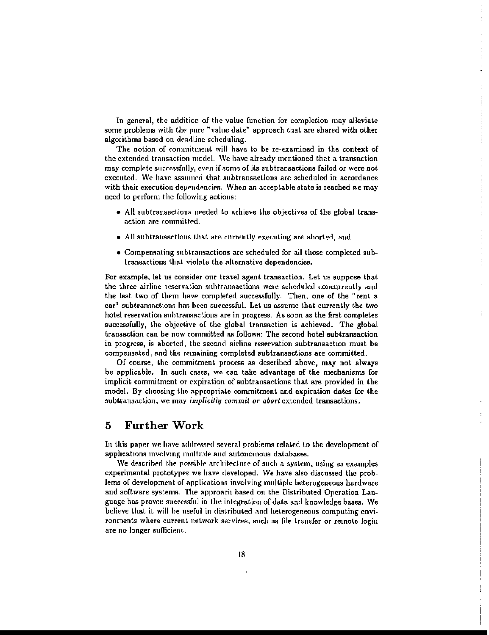In general, the addition of the value function for completion may alleviate some problems with *the* pure "value date" approach that are shared with other algorithms based on deadline scheduling.

The notion of commitment will have to be re-examined in the context of the extended transaction model. We have already mentioned that a transaction may complete successfully, even if some of its subtransactions failed or were not executed. We have assumed that subtransactions are scheduled in accordance with their execution dependencies. When an acceptable state is reached we may need to perform the following actions:

- All subtransactions needed to achieve the objectives of the global transaction are committed.
- All subtransactions that are currently executing are aborted, and
- Compensating subtransactions are scheduled for all those completed subtransactions that. violate the alternative dependencies.

For example, let us consider our travel agent transaction. Let us suppose that the three airline reservation subtransactions were scheduled concurrently and the last two of them have completed successfully. Then, one of the "rent a car" subtransactions has heen successful. Let us assume that currently the two hotel reservation subtransactions are in progress. As soon as the first completes successfully, the objective of the global transaction is achieved. The global transaction can be now committed as follows: The second hotel subtransaction in progress, is aborted, the second airline reservation subtransaction must be compensated, and the remaining completed subtransactions are committed.

÷

Of course, the commitment process as described above, may not always be applicable. In such cases, we can take advantage of the mechanisms for implicit commitment or expiration of subtransadions that are provided in the model. By choosing the appropriate commitment and expiration dates for the subtransaetion, we may *implicitly* commit *or abort* extended transactions.

## 5 Further Work

In this paper we have addressed several problems related to the development of applications involving multiple and autonomous databases.

We described the possible architecture of such a system, using as examples experimental prototypes we have developed. We have also discussed the problems of development of applications involving multiple heterogeneous hardware and software systems. The approach based on the Distributed Operation Language has proven successful in the integration of data and knowledge bases. We believe that it will be useful in distributed and heterogeneous computing environments where current network services, such as file transfer or remote login are no longer sufficienl..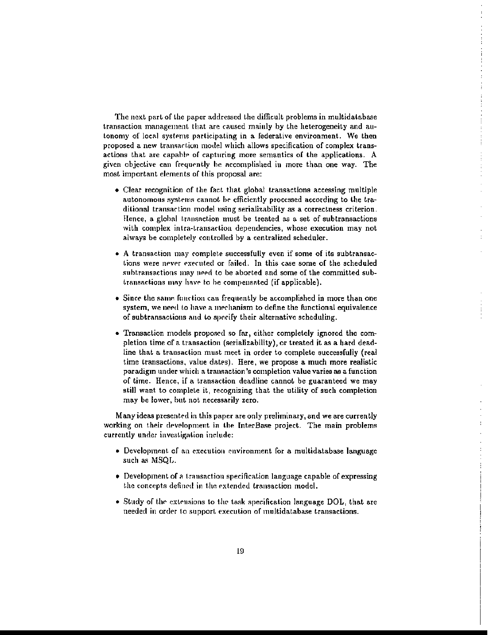The next part of the paper addressed the difficult problems in multidatabase transaction management that are caused mainly by the heterogeneity and autonomy of local systems participating in a federative environment. We then proposed a new transaction model which allows specification of complex transactions that are capable of capturing more semantics of the applications. A given objective can frequently be accomplished in more than one way. The most important elements of this proposal are:

- $\bullet$  Clear recognition of the fact that global transactions accessing multiple autonomous systems cannot be efficiently processed according to the traditional transaction model using serializability as a correctness criterion. Hence, a global transaction must be treated as a set of subtransactions with complex intra-transaction dependencies, whose execution may not always be completely controlled by a centralized scheduler.
- A transaction may complete successfully even if some of its subtransactions were never executed or failed. In this case some of the scheduled subtransactions may need to be aborted and some of the committed subtransactions may have to be compensated (if applicable).
- Since the same function can frequently be accomplished in more than one. system, we need to have a mechanism to define the functional equivalence of subtransactions and to specify their alternative scheduling.
- Transaction models proposed so far, either completely ignored the completion time of a transaction (serializability), or treated it as a hard deadline that a transaction must meet in order to complete successfully (real time transactions, value dates). Here, we propose a much more realistic paradigm under which a transaction's completion value varies as a function of time. Hence, if a transaction deadline cannot. be guaranteed we may still want to complete it, recognizing that the utility of such completion may be lower, but not necessarily zero.

Many ideas presented in this paper are only preliminary, and we are currently working on their development in the InterBase project. The main problems currently under investigation include:

- Development of an execution environment for a multidatabase language such as MSQL.
- $\bullet$  Development of a transaction specification language capable of expressing the concepts defined in the extended transaction model.
- Study of the extensions to the task specification language DOL, that are needed in order to support execution of multidatabase transactions.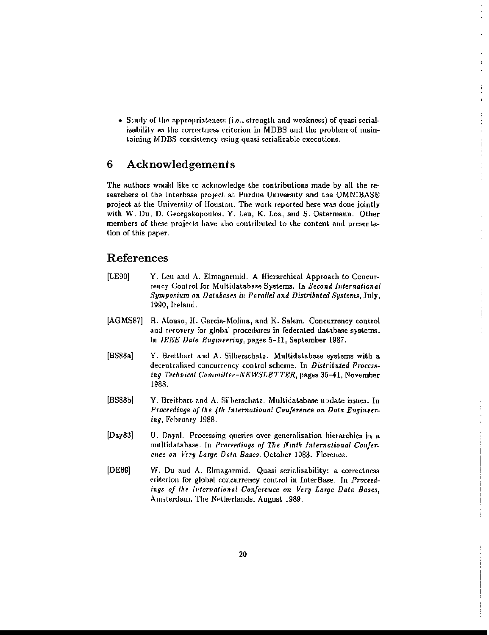• Study of the appropriateness (i.e., strength and weakness) of quasi serializability as the correctness criterion in MDBS and the problem of maintaining MDBS consistency using quasi serializable executions.

÷  $\bar{\textbf{r}}$ 

Í

Ť

 $\frac{1}{2}$ 

#### 6 Acknowledgements

The authors would like to acknowledge the contributions made by all the researchers of the Interbase project at Purdue University and the OMNIBASE project at the University of Houston. The work reported here was done jointly with W. Du, D. Georgakopoulos, Y. Leu, K. Loa, and S. Ostermann. Other members of these projects have also contributed to the content and presentation of this paper.

# References

- $[LE90]$ Y. Leu and A. Elmagarmid. A Hierarchical Approach to Concurrency Control for Multidatabase Systems. In Second International Symposium on Databases in Parallel and Distributed Systems, July, 1990, Ireland.
- [AGMS87] R. Alonso, H. Garcia-Molina, and K. Salem. Concurrency control and recovery for global procedures in federated database systems. In IEEE Data Engineering, pages 5-11, September 1987.
- [BS88a] Y. Breitbart and A. Silberschatz. Multidatabase systems with a decentralized concurrency control scheme. In Distributed Processing Technical Committee-NEWSLETTER, pages 35-41, November 1988.
- [BS88b] Y. Breitbart and A. Silberschatz. Multidatabase update issues. In Proceedings of the 4th International Conference on Data Engineering, February 1988.
- $[Day83]$ U. Dayal. Processing queries over generalization hierarchies in a multidatabase. In Proceedings of The Ninth International Conference on Very Large Data Bases, October 1983. Florence.
- $[DE89]$ W. Du and A. Elmagarmid. Quasi serializability: a correctness criterion for global concurrency control in InterBase. In Proceedings of the International Conference on Very Large Data Bases, Amsterdam, The Netherlands, August 1989.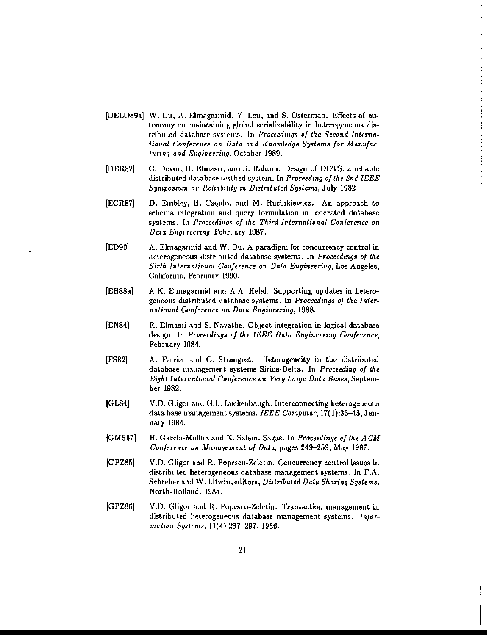[DELO89a] W. Du, A. Elmagarmid, Y. Leu, and S. Osterman. Effects of autonomy on maintaining global serializability in heterogeneous distributed database systems. In Proceedings of the Second International Conference on Data and Knowledge Systems for Manufacturing and Engineering, October 1989.

 $\bar{1}$ Î

 $\frac{1}{3}$ 

 $\frac{1}{4}$ 

÷

j

J.

l.

 $\mathbf{r}$ 

 $\ddot{\phantom{a}}$ 

÷

- $[DER82]$ C. Devor, R. Elmasri, and S. Rahimi. Design of DDTS: a reliable distributed database testbed system. In Proceeding of the 2nd IEEE Symposium on Reliability in Distributed Systems, July 1982.
- D. Embley, B. Czejdo, and M. Rusinkiewicz. An approach to  $[ECR87]$ schema integration and query formulation in federated database systems. In Proceedings of the Third International Conference on Data Engineering, February 1987.
- [ED90] A. Elmagarmid and W. Du. A paradigm for concurrency control in heterogeneous distributed database systems. In Proceedings of the Sirth International Conference on Data Engineering, Los Angeles, California, February 1990.
- [EH88a] A.K. Elmagarmid and A.A. Helal. Supporting updates in heterogeneous distributed database systems. In Proceedings of the International Conference on Data Engineering, 1988.
- [EN84] R. Elmasri and S. Navathe. Object integration in logical database design. In Proceedings of the IEEE Data Engineering Conference, February 1984.
- [FS82] A. Ferrier and C. Strangret. Heterogeneity in the distributed database management systems Sirius-Delta. In Proceeding of the Eight International Conference on Very Large Data Bases, September 1982.
- $[GL84]$ V.D. Gligor and G.L. Luckenbaugh. Interconnecting heterogeneous data base management systems. IEEE Computer, 17(1):33-43, January 1984.
- [GMS87] H. Garcia-Molina and K. Salein. Sagas. In Proceedings of the ACM Conference on Management of Data, pages 249-259, May 1987.
- $[GPZ85]$ V.D. Gligor and R. Popescu-Zeletin. Concurrency control issues in distributed heterogeneous database management systems. In F.A. Schreber and W. Litwin, editors, Distributed Data Sharing Systems. North-Holland, 1985.
- V.D. Gligor and R. Popescu-Zeletin. Transaction management in  $[GPZ86]$ distributed heterogeneous database management systems. Information Systems, 11(4):287-297, 1986.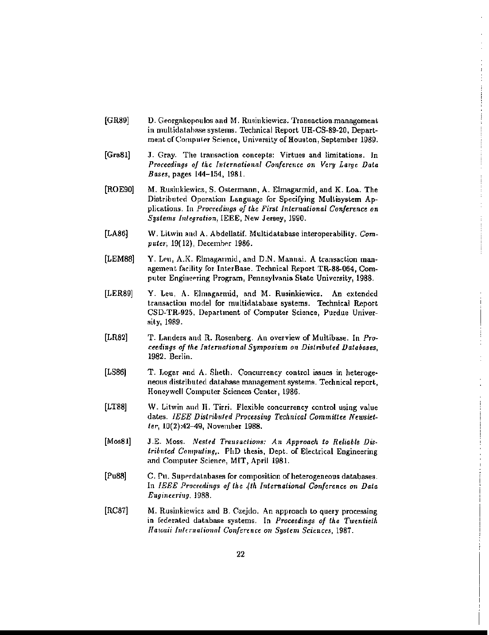[GR89] D. Georgakopoulos and M. Rusinkiewicz. Transaction management in multidatabase systems. Technical Report UH-CS-89-20, Department of Computer Science, University of Houston, September 1989. *<u><u><u></u>*</u></u>

- $[Gra81]$ J. Gray. The transaction concepts: Virtues and limitations. In Proceedings of the International Conference on Very Large Data Bases, pages 144-154, 1981.
- [ROE90] M. Rusinkiewicz, S. Ostermann, A. Elmagarmid, and K. Loa. The Distributed Operation Language for Specifying Multisystem Applications. In Proceedings of the First International Conference on Systems Integration, IEEE, New Jersey, 1990.
- $[LA86]$ W. Litwin and A. Abdellatif. Multidatabase interoperability. Computer, 19(12), December 1986.
- [LEM88] Y. Leu, A.K. Elmagarmid, and D.N. Mannai. A transaction management facility for InterBase. Technical Report TR-88-064, Computer Engineering Program, Pennsylvania State University, 1988.
- [LER89] Y. Leu, A. Elmagarmid, and M. Rusinkiewicz. An extended transaction model for multidatabase systems. Technical Report CSD-TR-925, Department of Computer Science, Purdue University, 1989.
- $[LR82]$ T. Landers and R. Rosenberg. An overview of Multibase. In Proceedings of the International Symposium on Distributed Databases. 1982. Berlin.
- $[LS86]$ T. Logar and A. Sheth. Concurrency control issues in heterogeneous distributed database management systems. Technical report, Honeywell Computer Sciences Center, 1986.
- $[LT88]$ W. Litwin and H. Tirri. Flexible concurrency control using value dates. IEEE Distributed Processing Technical Committee Newsletter, 10(2):42-49, November 1988.
- $[Mos81]$ J.E. Moss. Nested Transactions: An Approach to Reliable Distributed Computing,. PhD thesis, Dept. of Electrical Engineering and Computer Science, MIT, April 1981.
- $[Pu88]$ C. Pu. Superdatabases for composition of heterogeneous databases. In IEEE Proceedings of the 4th International Conference on Data Engineering, 1988.
- $[RC87]$ M. Rusinkiewicz and B. Czejdo. An approach to query processing in federated database systems. In Proceedings of the Twentieth Hawaii International Conference on System Sciences, 1987.